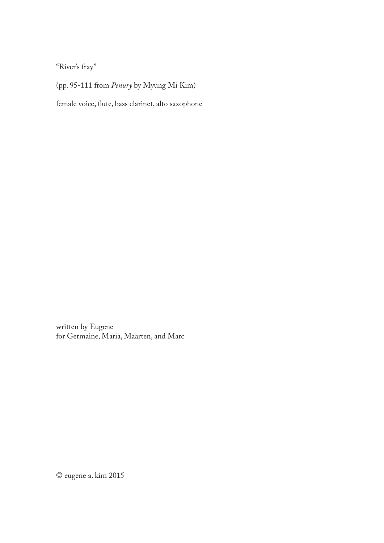"River's fray"

(pp. 95-111 from *Penury* by Myung Mi Kim)

female voice, flute, bass clarinet, alto saxophone

written by Eugene for Germaine, Maria, Maarten, and Marc

© eugene a. kim 2015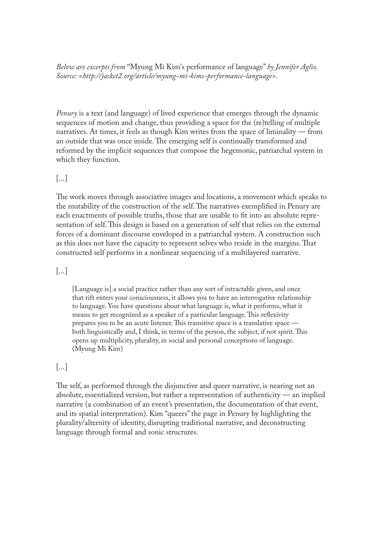*Below are excerpts from* "Myung Mi Kim's performance of language" *by Jennifer Aglio. Source: <http://jacket2.org/article/myung-mi-kims-performance-language>.*

*Penury* is a text (and language) of lived experience that emerges through the dynamic sequences of motion and change, thus providing a space for the (re)telling of multiple narratives. At times, it feels as though Kim writes from the space of liminality — from an outside that was once inside. The emerging self is continually transformed and reformed by the implicit sequences that compose the hegemonic, patriarchal system in which they function.

### [...]

The work moves through associative images and locations, a movement which speaks to the mutability of the construction of the self. The narratives exemplified in Penury are each enactments of possible truths, those that are unable to fit into an absolute representation of self. This design is based on a generation of self that relies on the external forces of a dominant discourse enveloped in a patriarchal system. A construction such as this does not have the capacity to represent selves who reside in the margins. That constructed self performs in a nonlinear sequencing of a multilayered narrative.

#### [...]

[Language is] a social practice rather than any sort of intractable given, and once that rift enters your consciousness, it allows you to have an interrogative relationship to language. You have questions about what language is, what it performs, what it means to get recognized as a speaker of a particular language. This reflexivity prepares you to be an acute listener. This transitive space is a translative space  $$ both linguistically and, I think, in terms of the person, the subject, if not spirit. This opens up multiplicity, plurality, in social and personal conceptions of language. (Myung Mi Kim)

### [...]

The self, as performed through the disjunctive and queer narrative, is nearing not an absolute, essentialized version, but rather a representation of authenticity — an implied narrative (a combination of an event's presentation, the documentation of that event, and its spatial interpretation). Kim "queers" the page in Penury by highlighting the plurality/alternity of identity, disrupting traditional narrative, and deconstructing language through formal and sonic structures.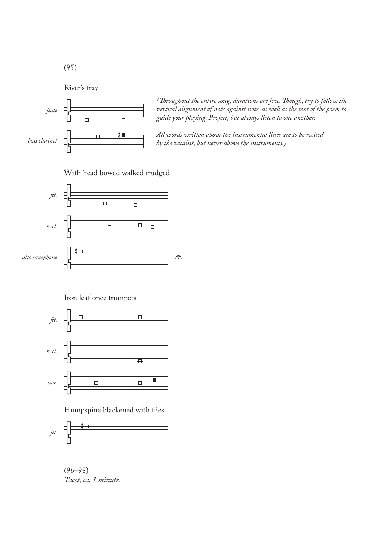(95)

River's fray



*(Throughout the entire song, durations are free. Though, try to follow the* vertical alignment of note against note, as well as the text of the poem to *guide your playing. Project, but always listen to one another.*

*All words written above the instrumental lines are to be recited by the vocalist, but never above the instruments.)*

### With head bowed walked trudged



Iron leaf once trumpets



Humpspine blackened with flies



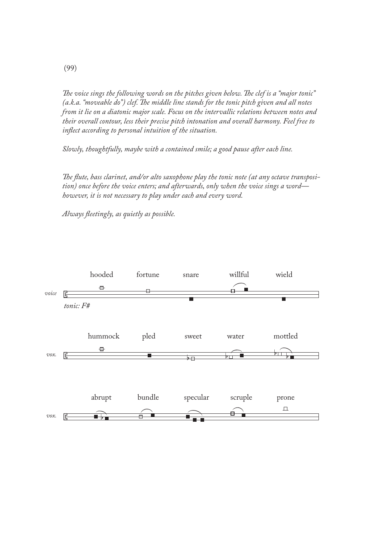The voice sings the following words on the pitches given below. The clef is a "major tonic" *(a.k.a. "moveable do") clef. The middle line stands for the tonic pitch given and all notes from it lie on a diatonic major scale. Focus on the intervallic relations between notes and their overall contour, less their precise pitch intonation and overall harmony. Feel free to inflect according to personal intuition of the situation.* 

*Slowly, thoughtfully, maybe with a contained smile; a good pause after each line.*

The flute, bass clarinet, and/or alto saxophone play the tonic note (at any octave transposi*tion) once before the voice enters; and afterwards, only when the voice sings a word however, it is not necessary to play under each and every word.*

Always fleetingly, as quietly as possible.

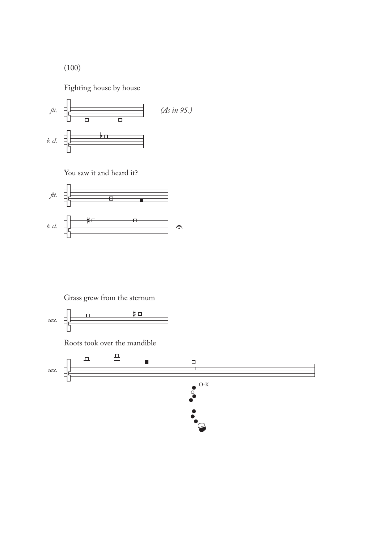(100)

Fighting house by house



You saw it and heard it?



Grass grew from the sternum

$$
sax. \quad \begin{array}{|c|c|c|}\n \hline\n & \quad \text{1} & \quad \text{# } \Box \\
\hline\n & \quad \text{1} & \quad \text{# } \Box \\
\hline\n & \quad \text{1} & \quad \text{# } \Box\n \end{array}
$$

Roots took over the mandible

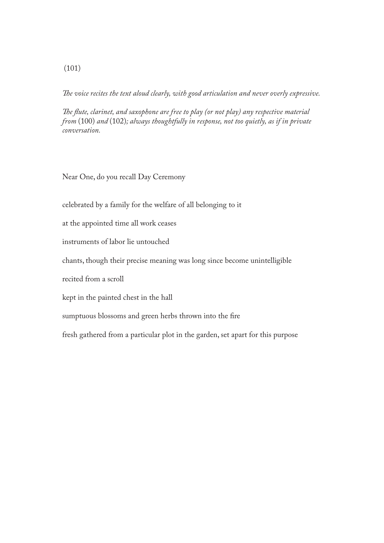*e voice recites the text aloud clearly, with good articulation and never overly expressive.*

The flute, clarinet, and saxophone are free to play (or not play) any respective material *from* (100) *and* (102)*; always thoughtfully in response, not too quietly, as if in private conversation.*

Near One, do you recall Day Ceremony

celebrated by a family for the welfare of all belonging to it

at the appointed time all work ceases

instruments of labor lie untouched

chants, though their precise meaning was long since become unintelligible

recited from a scroll

kept in the painted chest in the hall

sumptuous blossoms and green herbs thrown into the fire

fresh gathered from a particular plot in the garden, set apart for this purpose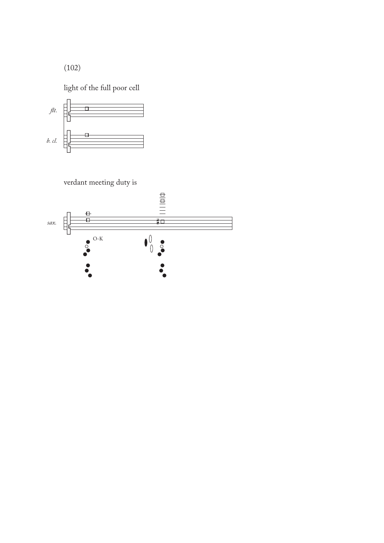(102)

light of the full poor cell



verdant meeting duty is

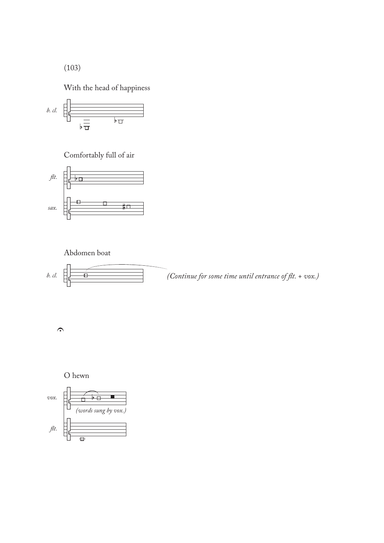(103)

With the head of happiness



Comfortably full of air



# Abdomen boat



 $\Omega$ 



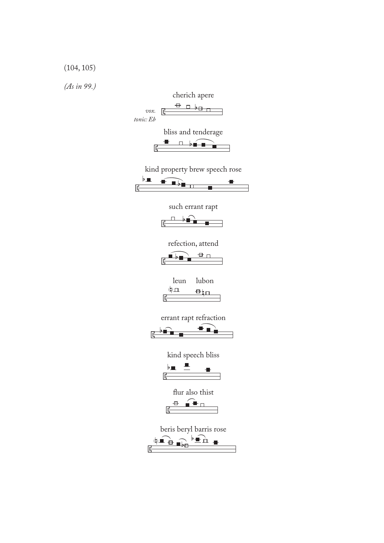# (104, 105)

*(As in 99.)*

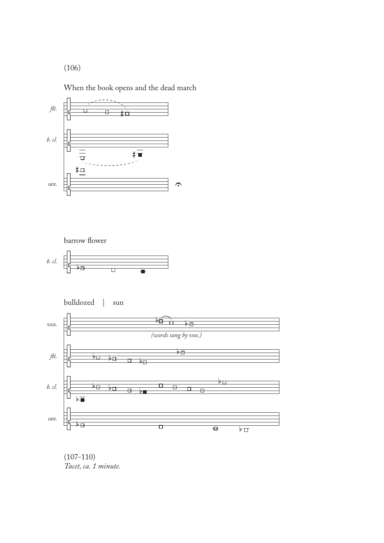(106)

When the book opens and the dead march









 $(107 - 110)$ *Tacet, ca. 1 minute.*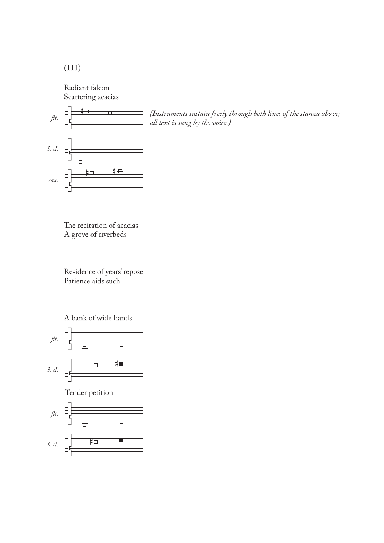(111)

Radiant falcon Scattering acacias



ft. *all text is sung by the voice.)*

The recitation of acacias A grove of riverbeds

Residence of years' repose Patience aids such

A bank of wide hands



Tender petition

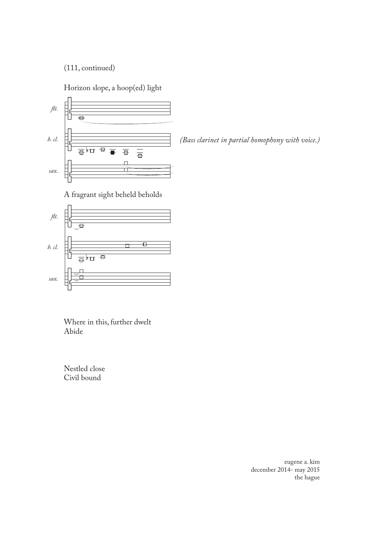(111, continued)

Horizon slope, a hoop(ed) light



*(Bass clarinet in partial homophony with voice.)*

A fragrant sight beheld beholds



Where in this, further dwelt Abide

Nestled close Civil bound

> eugene a. kim december 2014- may 2015 the hague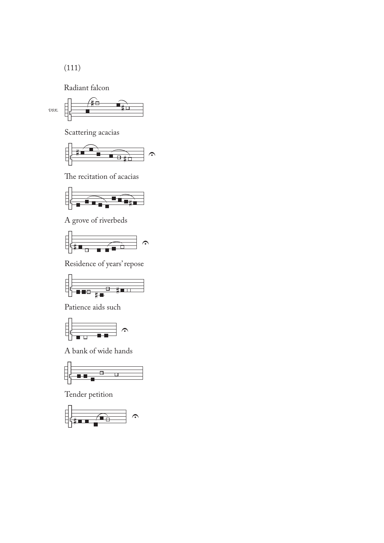(111)

Radiant falcon



Scattering acacias



The recitation of acacias



A grove of riverbeds



Residence of years' repose



Patience aids such



A bank of wide hands



Tender petition